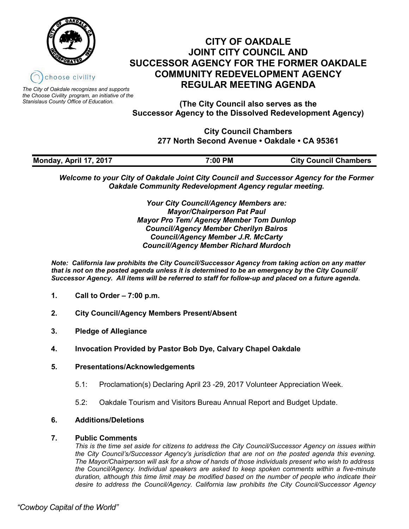



*The City of Oakdale recognizes and supports the Choose Civility program, an initiative of the Stanislaus County Office of Education.*

**(The City Council also serves as the Successor Agency to the Dissolved Redevelopment Agency)**

> **City Council Chambers 277 North Second Avenue • Oakdale • CA 95361**

| Monday, April 17, 2017 | 7:00 PM | <b>City Council Chambers</b> |
|------------------------|---------|------------------------------|

*Welcome to your City of Oakdale Joint City Council and Successor Agency for the Former Oakdale Community Redevelopment Agency regular meeting.*

> *Your City Council/Agency Members are: Mayor/Chairperson Pat Paul Mayor Pro Tem/ Agency Member Tom Dunlop Council/Agency Member Cherilyn Bairos Council/Agency Member J.R. McCarty Council/Agency Member Richard Murdoch*

*Note: California law prohibits the City Council/Successor Agency from taking action on any matter that is not on the posted agenda unless it is determined to be an emergency by the City Council/ Successor Agency. All items will be referred to staff for follow-up and placed on a future agenda.* 

- **1. Call to Order – 7:00 p.m.**
- **2. City Council/Agency Members Present/Absent**
- **3. Pledge of Allegiance**
- **4. Invocation Provided by Pastor Bob Dye, Calvary Chapel Oakdale**
- **5. Presentations/Acknowledgements**
	- 5.1: Proclamation(s) Declaring April 23 -29, 2017 Volunteer Appreciation Week.
	- 5.2: Oakdale Tourism and Visitors Bureau Annual Report and Budget Update.

#### **6. Additions/Deletions**

#### **7. Public Comments**

*This is the time set aside for citizens to address the City Council/Successor Agency on issues within the City Council's/Successor Agency's jurisdiction that are not on the posted agenda this evening. The Mayor/Chairperson will ask for a show of hands of those individuals present who wish to address the Council/Agency. Individual speakers are asked to keep spoken comments within a five-minute duration, although this time limit may be modified based on the number of people who indicate their desire to address the Council/Agency. California law prohibits the City Council/Successor Agency*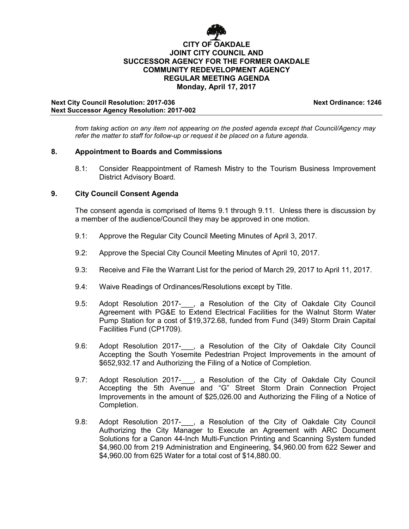

#### **Next City Council Resolution: 2017-036 Next Ordinance: 1246 Next Successor Agency Resolution: 2017-002**

*from taking action on any item not appearing on the posted agenda except that Council/Agency may* 

*refer the matter to staff for follow-up or request it be placed on a future agenda.*

## **8. Appointment to Boards and Commissions**

8.1: Consider Reappointment of Ramesh Mistry to the Tourism Business Improvement District Advisory Board.

## **9. City Council Consent Agenda**

The consent agenda is comprised of Items 9.1 through 9.11. Unless there is discussion by a member of the audience/Council they may be approved in one motion.

- 9.1: Approve the Regular City Council Meeting Minutes of April 3, 2017.
- 9.2: Approve the Special City Council Meeting Minutes of April 10, 2017.
- 9.3: Receive and File the Warrant List for the period of March 29, 2017 to April 11, 2017.
- 9.4: Waive Readings of Ordinances/Resolutions except by Title.
- 9.5: Adopt Resolution 2017-, a Resolution of the City of Oakdale City Council Agreement with PG&E to Extend Electrical Facilities for the Walnut Storm Water Pump Station for a cost of \$19,372.68, funded from Fund (349) Storm Drain Capital Facilities Fund (CP1709).
- 9.6: Adopt Resolution 2017-, a Resolution of the City of Oakdale City Council Accepting the South Yosemite Pedestrian Project Improvements in the amount of \$652,932.17 and Authorizing the Filing of a Notice of Completion.
- 9.7: Adopt Resolution 2017- , a Resolution of the City of Oakdale City Council Accepting the 5th Avenue and "G" Street Storm Drain Connection Project Improvements in the amount of \$25,026.00 and Authorizing the Filing of a Notice of Completion.
- 9.8: Adopt Resolution 2017-<sub>,</sub> a Resolution of the City of Oakdale City Council Authorizing the City Manager to Execute an Agreement with ARC Document Solutions for a Canon 44-Inch Multi-Function Printing and Scanning System funded \$4,960.00 from 219 Administration and Engineering, \$4,960.00 from 622 Sewer and \$4,960.00 from 625 Water for a total cost of \$14,880.00.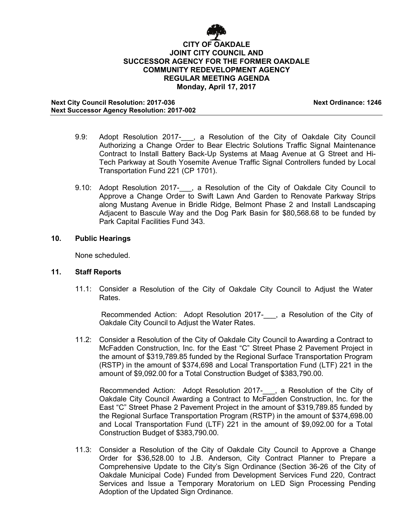

**Next City Council Resolution: 2017-036 Next Ordinance: 1246 Next Successor Agency Resolution: 2017-002**

- 9.9: Adopt Resolution 2017-\_\_\_, a Resolution of the City of Oakdale City Council Authorizing a Change Order to Bear Electric Solutions Traffic Signal Maintenance Contract to Install Battery Back-Up Systems at Maag Avenue at G Street and Hi-Tech Parkway at South Yosemite Avenue Traffic Signal Controllers funded by Local Transportation Fund 221 (CP 1701).
- 9.10: Adopt Resolution 2017- , a Resolution of the City of Oakdale City Council to Approve a Change Order to Swift Lawn And Garden to Renovate Parkway Strips along Mustang Avenue in Bridle Ridge, Belmont Phase 2 and Install Landscaping Adjacent to Bascule Way and the Dog Park Basin for \$80,568.68 to be funded by Park Capital Facilities Fund 343.

#### **10. Public Hearings**

None scheduled.

#### **11. Staff Reports**

11.1: Consider a Resolution of the City of Oakdale City Council to Adjust the Water Rates.

Recommended Action: Adopt Resolution 2017-\_\_\_, a Resolution of the City of Oakdale City Council to Adjust the Water Rates.

11.2: Consider a Resolution of the City of Oakdale City Council to Awarding a Contract to McFadden Construction, Inc. for the East "C" Street Phase 2 Pavement Project in the amount of \$319,789.85 funded by the Regional Surface Transportation Program (RSTP) in the amount of \$374,698 and Local Transportation Fund (LTF) 221 in the amount of \$9,092.00 for a Total Construction Budget of \$383,790.00.

Recommended Action: Adopt Resolution 2017- , a Resolution of the City of Oakdale City Council Awarding a Contract to McFadden Construction, Inc. for the East "C" Street Phase 2 Pavement Project in the amount of \$319,789.85 funded by the Regional Surface Transportation Program (RSTP) in the amount of \$374,698.00 and Local Transportation Fund (LTF) 221 in the amount of \$9,092.00 for a Total Construction Budget of \$383,790.00.

11.3: Consider a Resolution of the City of Oakdale City Council to Approve a Change Order for \$36,528.00 to J.B. Anderson, City Contract Planner to Prepare a Comprehensive Update to the City's Sign Ordinance (Section 36-26 of the City of Oakdale Municipal Code) Funded from Development Services Fund 220, Contract Services and Issue a Temporary Moratorium on LED Sign Processing Pending Adoption of the Updated Sign Ordinance.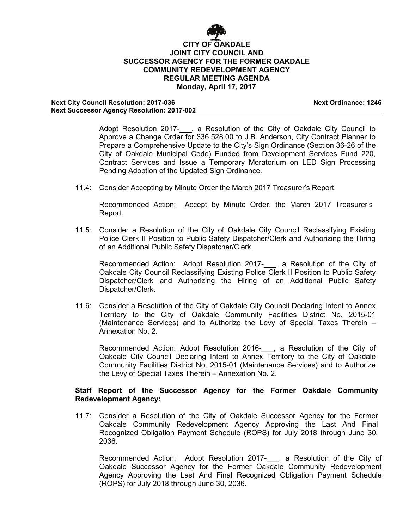

**Next City Council Resolution: 2017-036 Next Ordinance: 1246 Next Successor Agency Resolution: 2017-002**

Adopt Resolution 2017- , a Resolution of the City of Oakdale City Council to Approve a Change Order for \$36,528.00 to J.B. Anderson, City Contract Planner to Prepare a Comprehensive Update to the City's Sign Ordinance (Section 36-26 of the City of Oakdale Municipal Code) Funded from Development Services Fund 220, Contract Services and Issue a Temporary Moratorium on LED Sign Processing Pending Adoption of the Updated Sign Ordinance.

11.4: Consider Accepting by Minute Order the March 2017 Treasurer's Report.

Recommended Action: Accept by Minute Order, the March 2017 Treasurer's Report.

11.5: Consider a Resolution of the City of Oakdale City Council Reclassifying Existing Police Clerk II Position to Public Safety Dispatcher/Clerk and Authorizing the Hiring of an Additional Public Safety Dispatcher/Clerk.

Recommended Action: Adopt Resolution 2017-\_\_\_, a Resolution of the City of Oakdale City Council Reclassifying Existing Police Clerk II Position to Public Safety Dispatcher/Clerk and Authorizing the Hiring of an Additional Public Safety Dispatcher/Clerk.

11.6: Consider a Resolution of the City of Oakdale City Council Declaring Intent to Annex Territory to the City of Oakdale Community Facilities District No. 2015-01 (Maintenance Services) and to Authorize the Levy of Special Taxes Therein – Annexation No. 2.

Recommended Action: Adopt Resolution 2016-\_\_\_, a Resolution of the City of Oakdale City Council Declaring Intent to Annex Territory to the City of Oakdale Community Facilities District No. 2015-01 (Maintenance Services) and to Authorize the Levy of Special Taxes Therein – Annexation No. 2.

## **Staff Report of the Successor Agency for the Former Oakdale Community Redevelopment Agency:**

11.7: Consider a Resolution of the City of Oakdale Successor Agency for the Former Oakdale Community Redevelopment Agency Approving the Last And Final Recognized Obligation Payment Schedule (ROPS) for July 2018 through June 30, 2036.

Recommended Action: Adopt Resolution 2017- , a Resolution of the City of Oakdale Successor Agency for the Former Oakdale Community Redevelopment Agency Approving the Last And Final Recognized Obligation Payment Schedule (ROPS) for July 2018 through June 30, 2036.